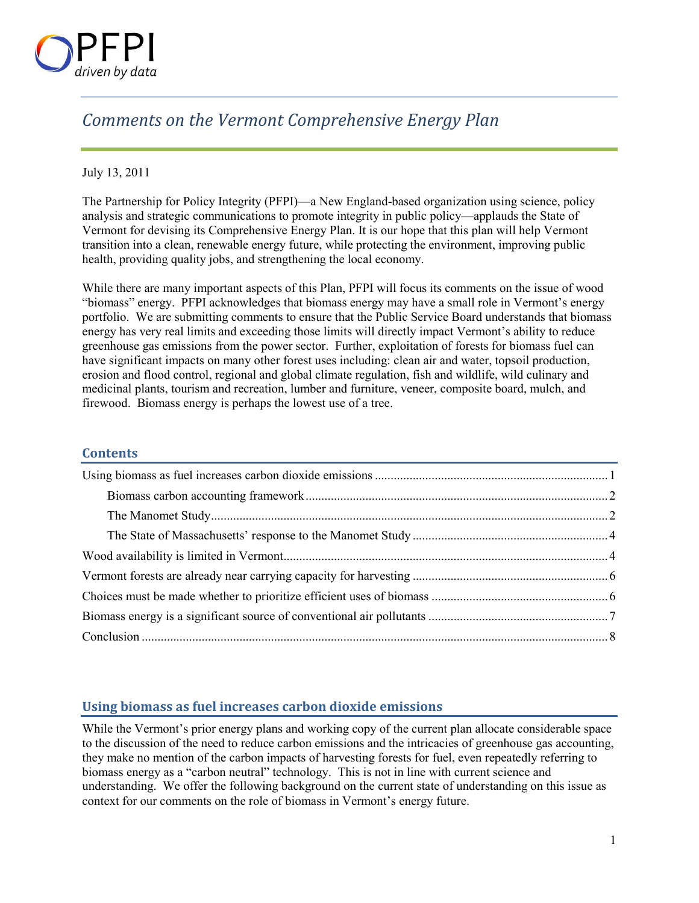

## *Comments on the Vermont Comprehensive Energy Plan*

#### July 13, 2011

The Partnership for Policy Integrity (PFPI)—a New England-based organization using science, policy analysis and strategic communications to promote integrity in public policy—applauds the State of Vermont for devising its Comprehensive Energy Plan. It is our hope that this plan will help Vermont transition into a clean, renewable energy future, while protecting the environment, improving public health, providing quality jobs, and strengthening the local economy.

While there are many important aspects of this Plan, PFPI will focus its comments on the issue of wood "biomass" energy. PFPI acknowledges that biomass energy may have a small role in Vermont's energy portfolio. We are submitting comments to ensure that the Public Service Board understands that biomass energy has very real limits and exceeding those limits will directly impact Vermont's ability to reduce greenhouse gas emissions from the power sector. Further, exploitation of forests for biomass fuel can have significant impacts on many other forest uses including: clean air and water, topsoil production, erosion and flood control, regional and global climate regulation, fish and wildlife, wild culinary and medicinal plants, tourism and recreation, lumber and furniture, veneer, composite board, mulch, and firewood. Biomass energy is perhaps the lowest use of a tree.

#### **Contents**

#### **Using biomass as fuel increases carbon dioxide emissions**

While the Vermont's prior energy plans and working copy of the current plan allocate considerable space to the discussion of the need to reduce carbon emissions and the intricacies of greenhouse gas accounting, they make no mention of the carbon impacts of harvesting forests for fuel, even repeatedly referring to biomass energy as a "carbon neutral" technology. This is not in line with current science and understanding. We offer the following background on the current state of understanding on this issue as context for our comments on the role of biomass in Vermont's energy future.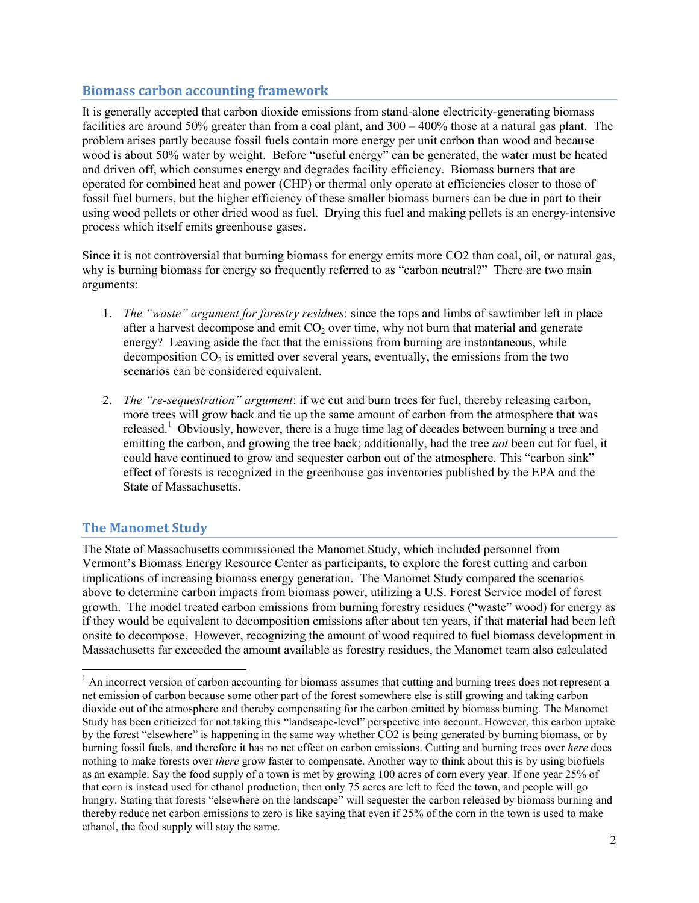#### **Biomass carbon accounting framework**

It is generally accepted that carbon dioxide emissions from stand-alone electricity-generating biomass facilities are around 50% greater than from a coal plant, and 300 – 400% those at a natural gas plant. The problem arises partly because fossil fuels contain more energy per unit carbon than wood and because wood is about 50% water by weight. Before "useful energy" can be generated, the water must be heated and driven off, which consumes energy and degrades facility efficiency. Biomass burners that are operated for combined heat and power (CHP) or thermal only operate at efficiencies closer to those of fossil fuel burners, but the higher efficiency of these smaller biomass burners can be due in part to their using wood pellets or other dried wood as fuel. Drying this fuel and making pellets is an energy-intensive process which itself emits greenhouse gases.

Since it is not controversial that burning biomass for energy emits more CO2 than coal, oil, or natural gas, why is burning biomass for energy so frequently referred to as "carbon neutral?" There are two main arguments:

- 1. *The "waste" argument for forestry residues*: since the tops and limbs of sawtimber left in place after a harvest decompose and emit  $CO<sub>2</sub>$  over time, why not burn that material and generate energy? Leaving aside the fact that the emissions from burning are instantaneous, while decomposition  $CO<sub>2</sub>$  is emitted over several years, eventually, the emissions from the two scenarios can be considered equivalent.
- 2. *The "re-sequestration" argument*: if we cut and burn trees for fuel, thereby releasing carbon, more trees will grow back and tie up the same amount of carbon from the atmosphere that was released.<sup>1</sup> Obviously, however, there is a huge time lag of decades between burning a tree and emitting the carbon, and growing the tree back; additionally, had the tree *not* been cut for fuel, it could have continued to grow and sequester carbon out of the atmosphere. This "carbon sink" effect of forests is recognized in the greenhouse gas inventories published by the EPA and the State of Massachusetts.

## **The Manomet Study**

 $\overline{a}$ 

The State of Massachusetts commissioned the Manomet Study, which included personnel from Vermont's Biomass Energy Resource Center as participants, to explore the forest cutting and carbon implications of increasing biomass energy generation. The Manomet Study compared the scenarios above to determine carbon impacts from biomass power, utilizing a U.S. Forest Service model of forest growth. The model treated carbon emissions from burning forestry residues ("waste" wood) for energy as if they would be equivalent to decomposition emissions after about ten years, if that material had been left onsite to decompose. However, recognizing the amount of wood required to fuel biomass development in Massachusetts far exceeded the amount available as forestry residues, the Manomet team also calculated

<sup>&</sup>lt;sup>1</sup> An incorrect version of carbon accounting for biomass assumes that cutting and burning trees does not represent a net emission of carbon because some other part of the forest somewhere else is still growing and taking carbon dioxide out of the atmosphere and thereby compensating for the carbon emitted by biomass burning. The Manomet Study has been criticized for not taking this "landscape-level" perspective into account. However, this carbon uptake by the forest "elsewhere" is happening in the same way whether CO2 is being generated by burning biomass, or by burning fossil fuels, and therefore it has no net effect on carbon emissions. Cutting and burning trees over *here* does nothing to make forests over *there* grow faster to compensate. Another way to think about this is by using biofuels as an example. Say the food supply of a town is met by growing 100 acres of corn every year. If one year 25% of that corn is instead used for ethanol production, then only 75 acres are left to feed the town, and people will go hungry. Stating that forests "elsewhere on the landscape" will sequester the carbon released by biomass burning and thereby reduce net carbon emissions to zero is like saying that even if 25% of the corn in the town is used to make ethanol, the food supply will stay the same.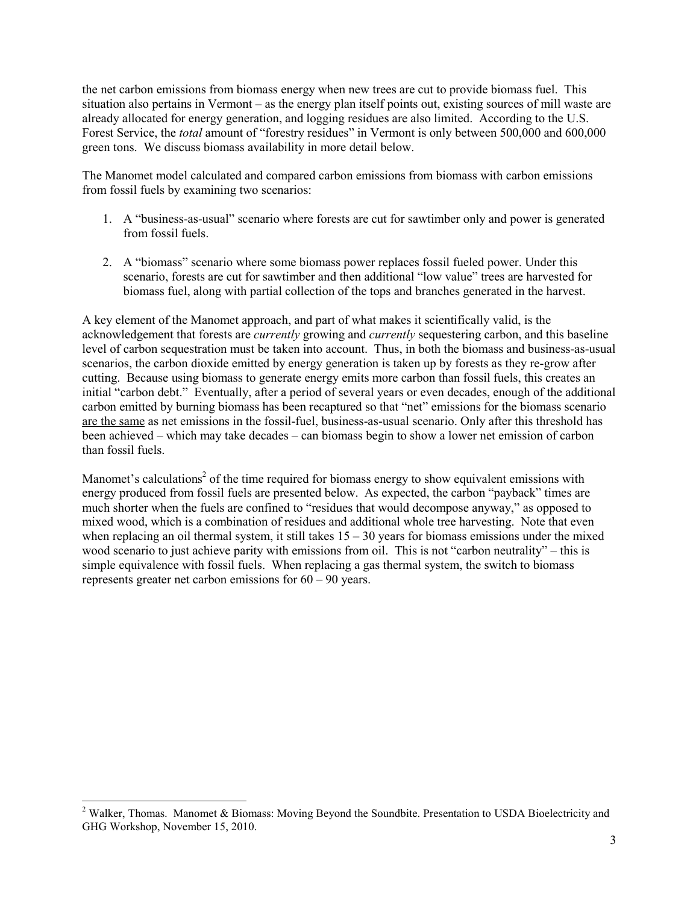the net carbon emissions from biomass energy when new trees are cut to provide biomass fuel. This situation also pertains in Vermont – as the energy plan itself points out, existing sources of mill waste are already allocated for energy generation, and logging residues are also limited. According to the U.S. Forest Service, the *total* amount of "forestry residues" in Vermont is only between 500,000 and 600,000 green tons. We discuss biomass availability in more detail below.

The Manomet model calculated and compared carbon emissions from biomass with carbon emissions from fossil fuels by examining two scenarios:

- 1. A "business-as-usual" scenario where forests are cut for sawtimber only and power is generated from fossil fuels.
- 2. A "biomass" scenario where some biomass power replaces fossil fueled power. Under this scenario, forests are cut for sawtimber and then additional "low value" trees are harvested for biomass fuel, along with partial collection of the tops and branches generated in the harvest.

A key element of the Manomet approach, and part of what makes it scientifically valid, is the acknowledgement that forests are *currently* growing and *currently* sequestering carbon, and this baseline level of carbon sequestration must be taken into account. Thus, in both the biomass and business-as-usual scenarios, the carbon dioxide emitted by energy generation is taken up by forests as they re-grow after cutting. Because using biomass to generate energy emits more carbon than fossil fuels, this creates an initial "carbon debt." Eventually, after a period of several years or even decades, enough of the additional carbon emitted by burning biomass has been recaptured so that "net" emissions for the biomass scenario are the same as net emissions in the fossil-fuel, business-as-usual scenario. Only after this threshold has been achieved – which may take decades – can biomass begin to show a lower net emission of carbon than fossil fuels.

Manomet's calculations<sup>2</sup> of the time required for biomass energy to show equivalent emissions with energy produced from fossil fuels are presented below. As expected, the carbon "payback" times are much shorter when the fuels are confined to "residues that would decompose anyway," as opposed to mixed wood, which is a combination of residues and additional whole tree harvesting. Note that even when replacing an oil thermal system, it still takes  $15 - 30$  years for biomass emissions under the mixed wood scenario to just achieve parity with emissions from oil. This is not "carbon neutrality" – this is simple equivalence with fossil fuels. When replacing a gas thermal system, the switch to biomass represents greater net carbon emissions for 60 – 90 years.

 $\overline{a}$ 

<sup>&</sup>lt;sup>2</sup> Walker, Thomas. Manomet & Biomass: Moving Beyond the Soundbite. Presentation to USDA Bioelectricity and GHG Workshop, November 15, 2010.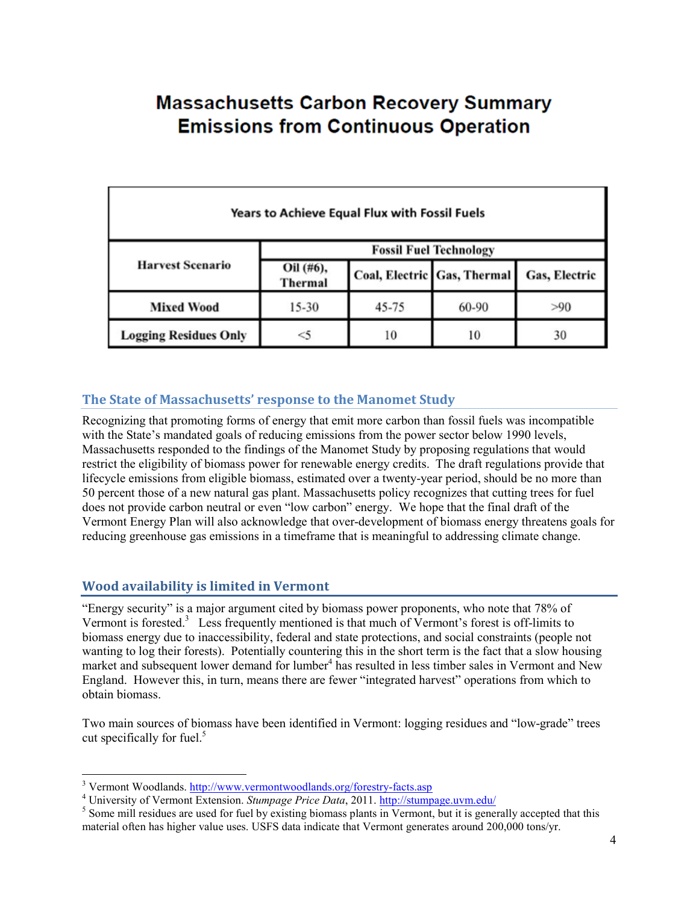# **Massachusetts Carbon Recovery Summary Emissions from Continuous Operation**

| <b>Years to Achieve Equal Flux with Fossil Fuels</b> |                               |       |                             |               |  |
|------------------------------------------------------|-------------------------------|-------|-----------------------------|---------------|--|
|                                                      | <b>Fossil Fuel Technology</b> |       |                             |               |  |
| <b>Harvest Scenario</b>                              | Oil (#6),<br><b>Thermal</b>   |       | Coal, Electric Gas, Thermal | Gas, Electric |  |
| <b>Mixed Wood</b>                                    | $15 - 30$                     | 45-75 | 60-90                       | >90           |  |
| <b>Logging Residues Only</b>                         | $<$ 5                         | 10    | 10                          | 30            |  |

## **The State of Massachusetts' response to the Manomet Study**

Recognizing that promoting forms of energy that emit more carbon than fossil fuels was incompatible with the State's mandated goals of reducing emissions from the power sector below 1990 levels, Massachusetts responded to the findings of the Manomet Study by proposing regulations that would restrict the eligibility of biomass power for renewable energy credits. The draft regulations provide that lifecycle emissions from eligible biomass, estimated over a twenty-year period, should be no more than 50 percent those of a new natural gas plant. Massachusetts policy recognizes that cutting trees for fuel does not provide carbon neutral or even "low carbon" energy. We hope that the final draft of the Vermont Energy Plan will also acknowledge that over-development of biomass energy threatens goals for reducing greenhouse gas emissions in a timeframe that is meaningful to addressing climate change.

## **Wood availability is limited in Vermont**

"Energy security" is a major argument cited by biomass power proponents, who note that 78% of Vermont is forested.<sup>3</sup> Less frequently mentioned is that much of Vermont's forest is off-limits to biomass energy due to inaccessibility, federal and state protections, and social constraints (people not wanting to log their forests). Potentially countering this in the short term is the fact that a slow housing market and subsequent lower demand for lumber<sup>4</sup> has resulted in less timber sales in Vermont and New England. However this, in turn, means there are fewer "integrated harvest" operations from which to obtain biomass.

Two main sources of biomass have been identified in Vermont: logging residues and "low-grade" trees cut specifically for fuel. $5$ 

<sup>&</sup>lt;sup>3</sup> Vermont Woodlands. http://www.vermontwoodlands.org/forestry-facts.asp

<sup>&</sup>lt;sup>4</sup> University of Vermont Extension. *Stumpage Price Data*, 2011. http://stumpage.uvm.edu/

<sup>&</sup>lt;sup>5</sup> Some mill residues are used for fuel by existing biomass plants in Vermont, but it is generally accepted that this material often has higher value uses. USFS data indicate that Vermont generates around 200,000 tons/yr.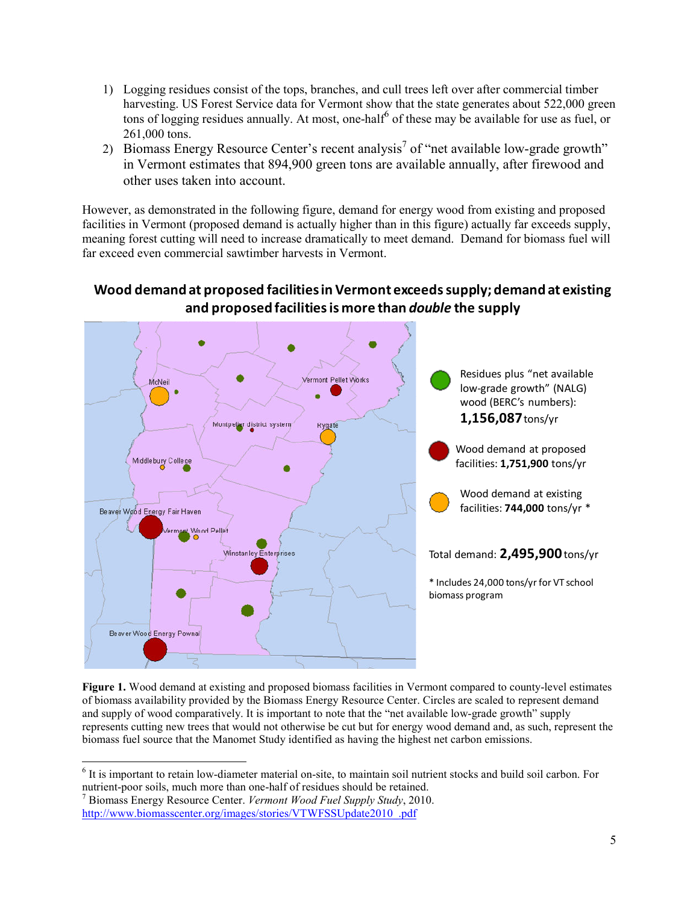- 1) Logging residues consist of the tops, branches, and cull trees left over after commercial timber harvesting. US Forest Service data for Vermont show that the state generates about 522,000 green tons of logging residues annually. At most, one-half<sup>6</sup> of these may be available for use as fuel, or 261,000 tons.
- 2) Biomass Energy Resource Center's recent analysis<sup>7</sup> of "net available low-grade growth" in Vermont estimates that 894,900 green tons are available annually, after firewood and other uses taken into account.

However, as demonstrated in the following figure, demand for energy wood from existing and proposed facilities in Vermont (proposed demand is actually higher than in this figure) actually far exceeds supply, meaning forest cutting will need to increase dramatically to meet demand. Demand for biomass fuel will far exceed even commercial sawtimber harvests in Vermont.



## **Wood demand at proposed facilities in Vermont exceeds supply; demand at existing and proposed facilities is more than** *double* **the supply**

**Figure 1.** Wood demand at existing and proposed biomass facilities in Vermont compared to county-level estimates of biomass availability provided by the Biomass Energy Resource Center. Circles are scaled to represent demand and supply of wood comparatively. It is important to note that the "net available low-grade growth" supply represents cutting new trees that would not otherwise be cut but for energy wood demand and, as such, represent the biomass fuel source that the Manomet Study identified as having the highest net carbon emissions.

<sup>&</sup>lt;sup>6</sup> It is important to retain low-diameter material on-site, to maintain soil nutrient stocks and build soil carbon. For nutrient-poor soils, much more than one-half of residues should be retained.

<sup>7</sup> Biomass Energy Resource Center. *Vermont Wood Fuel Supply Study*, 2010. http://www.biomasscenter.org/images/stories/VTWFSSUpdate2010\_.pdf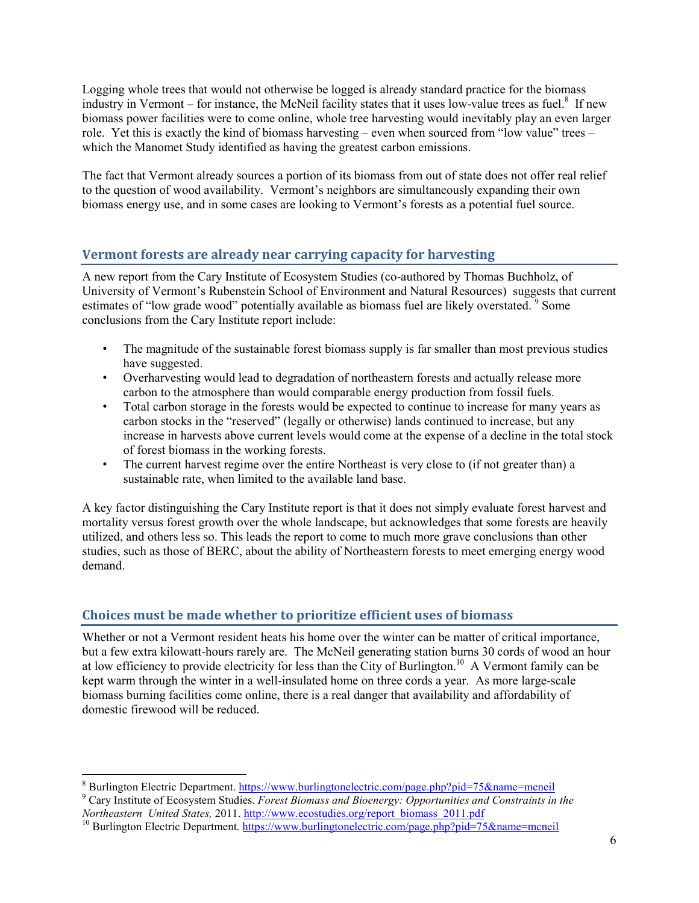Logging whole trees that would not otherwise be logged is already standard practice for the biomass industry in Vermont – for instance, the McNeil facility states that it uses low-value trees as fuel.<sup>8</sup> If new biomass power facilities were to come online, whole tree harvesting would inevitably play an even larger role. Yet this is exactly the kind of biomass harvesting – even when sourced from "low value" trees – which the Manomet Study identified as having the greatest carbon emissions.

The fact that Vermont already sources a portion of its biomass from out of state does not offer real relief to the question of wood availability. Vermont's neighbors are simultaneously expanding their own biomass energy use, and in some cases are looking to Vermont's forests as a potential fuel source.

## **Vermont forests are already near carrying capacity for harvesting**

A new report from the Cary Institute of Ecosystem Studies (co-authored by Thomas Buchholz, of University of Vermont's Rubenstein School of Environment and Natural Resources) suggests that current estimates of "low grade wood" potentially available as biomass fuel are likely overstated.<sup>9</sup> Some conclusions from the Cary Institute report include:

- The magnitude of the sustainable forest biomass supply is far smaller than most previous studies have suggested.
- Overharvesting would lead to degradation of northeastern forests and actually release more carbon to the atmosphere than would comparable energy production from fossil fuels.
- Total carbon storage in the forests would be expected to continue to increase for many years as carbon stocks in the "reserved" (legally or otherwise) lands continued to increase, but any increase in harvests above current levels would come at the expense of a decline in the total stock of forest biomass in the working forests.
- The current harvest regime over the entire Northeast is very close to (if not greater than) a sustainable rate, when limited to the available land base.

A key factor distinguishing the Cary Institute report is that it does not simply evaluate forest harvest and mortality versus forest growth over the whole landscape, but acknowledges that some forests are heavily utilized, and others less so. This leads the report to come to much more grave conclusions than other studies, such as those of BERC, about the ability of Northeastern forests to meet emerging energy wood demand.

## **Choices must be made whether to prioritize efficient uses of biomass**

Whether or not a Vermont resident heats his home over the winter can be matter of critical importance, but a few extra kilowatt-hours rarely are. The McNeil generating station burns 30 cords of wood an hour at low efficiency to provide electricity for less than the City of Burlington.<sup>10</sup> A Vermont family can be kept warm through the winter in a well-insulated home on three cords a year. As more large-scale biomass burning facilities come online, there is a real danger that availability and affordability of domestic firewood will be reduced.

<sup>&</sup>lt;u>.</u> <sup>8</sup> Burlington Electric Department. https://www.burlingtonelectric.com/page.php?pid=75&name=mcneil

<sup>9</sup> Cary Institute of Ecosystem Studies. *Forest Biomass and Bioenergy: Opportunities and Constraints in the Northeastern United States,* 2011. http://www.ecostudies.org/report\_biomass\_2011.pdf

<sup>&</sup>lt;sup>10</sup> Burlington Electric Department. https://www.burlingtonelectric.com/page.php?pid=75&name=mcneil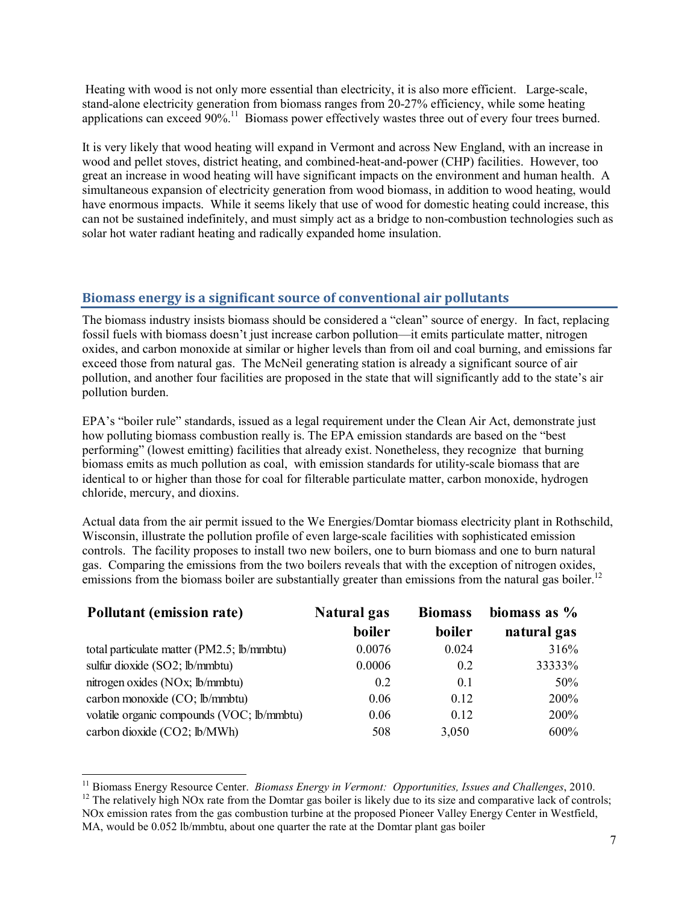Heating with wood is not only more essential than electricity, it is also more efficient. Large-scale, stand-alone electricity generation from biomass ranges from 20-27% efficiency, while some heating applications can exceed 90%.<sup>11</sup> Biomass power effectively wastes three out of every four trees burned.

It is very likely that wood heating will expand in Vermont and across New England, with an increase in wood and pellet stoves, district heating, and combined-heat-and-power (CHP) facilities. However, too great an increase in wood heating will have significant impacts on the environment and human health. A simultaneous expansion of electricity generation from wood biomass, in addition to wood heating, would have enormous impacts. While it seems likely that use of wood for domestic heating could increase, this can not be sustained indefinitely, and must simply act as a bridge to non-combustion technologies such as solar hot water radiant heating and radically expanded home insulation.

#### **Biomass energy is a significant source of conventional air pollutants**

The biomass industry insists biomass should be considered a "clean" source of energy. In fact, replacing fossil fuels with biomass doesn't just increase carbon pollution—it emits particulate matter, nitrogen oxides, and carbon monoxide at similar or higher levels than from oil and coal burning, and emissions far exceed those from natural gas. The McNeil generating station is already a significant source of air pollution, and another four facilities are proposed in the state that will significantly add to the state's air pollution burden.

EPA's "boiler rule" standards, issued as a legal requirement under the Clean Air Act, demonstrate just how polluting biomass combustion really is. The EPA emission standards are based on the "best performing" (lowest emitting) facilities that already exist. Nonetheless, they recognize that burning biomass emits as much pollution as coal, with emission standards for utility-scale biomass that are identical to or higher than those for coal for filterable particulate matter, carbon monoxide, hydrogen chloride, mercury, and dioxins.

Actual data from the air permit issued to the We Energies/Domtar biomass electricity plant in Rothschild, Wisconsin, illustrate the pollution profile of even large-scale facilities with sophisticated emission controls. The facility proposes to install two new boilers, one to burn biomass and one to burn natural gas. Comparing the emissions from the two boilers reveals that with the exception of nitrogen oxides, emissions from the biomass boiler are substantially greater than emissions from the natural gas boiler.<sup>12</sup>

| <b>Pollutant (emission rate)</b>           | Natural gas | <b>Biomass</b> | biomass as $%$ |
|--------------------------------------------|-------------|----------------|----------------|
|                                            | boiler      | boiler         | natural gas    |
| total particulate matter (PM2.5; lb/mmbtu) | 0.0076      | 0.024          | 316%           |
| sulfur dioxide (SO2; lb/mmbtu)             | 0.0006      | 0.2            | 33333%         |
| nitrogen oxides (NOx; lb/mmbtu)            | 0.2         | 0.1            | 50%            |
| carbon monoxide (CO; lb/mmbtu)             | 0.06        | 0.12           | 200%           |
| volatile organic compounds (VOC; lb/mmbtu) | 0.06        | 0.12           | 200%           |
| carbon dioxide (CO2; lb/MWh)               | 508         | 3,050          | 600%           |

<sup>11</sup> Biomass Energy Resource Center. *Biomass Energy in Vermont: Opportunities, Issues and Challenges*, 2010. <sup>12</sup> The relatively high NOx rate from the Domtar gas boiler is likely due to its size and comparative lack of controls;

<u>.</u>

NOx emission rates from the gas combustion turbine at the proposed Pioneer Valley Energy Center in Westfield, MA, would be 0.052 lb/mmbtu, about one quarter the rate at the Domtar plant gas boiler